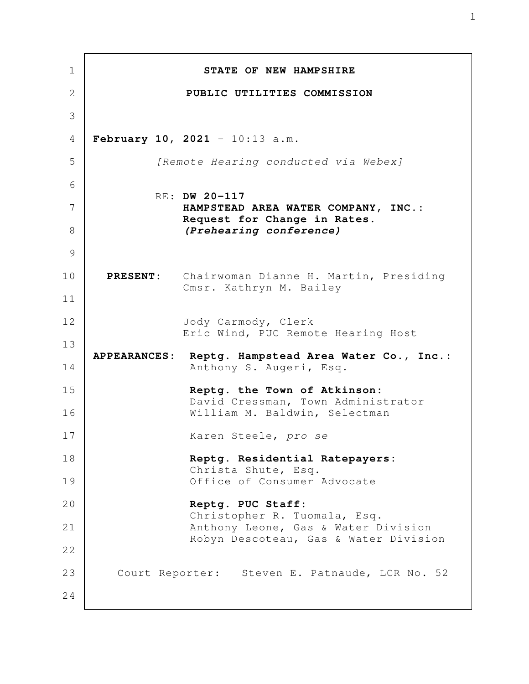**STATE OF NEW HAMPSHIRE PUBLIC UTILITIES COMMISSION February 10, 2021** - 10:13 a.m. *[Remote Hearing conducted via Webex]* RE: **DW 20-117 HAMPSTEAD AREA WATER COMPANY, INC.: Request for Change in Rates.** *(Prehearing conference)*  **PRESENT:** Chairwoman Dianne H. Martin, Presiding Cmsr. Kathryn M. Bailey Jody Carmody, Clerk Eric Wind, PUC Remote Hearing Host **APPEARANCES: Reptg. Hampstead Area Water Co., Inc.:** Anthony S. Augeri, Esq. **Reptg. the Town of Atkinson:** David Cressman, Town Administrator William M. Baldwin, Selectman Karen Steele, *pro se* **Reptg. Residential Ratepayers:** Christa Shute, Esq. Office of Consumer Advocate **Reptg. PUC Staff:** Christopher R. Tuomala, Esq. Anthony Leone, Gas & Water Division Robyn Descoteau, Gas & Water Division Court Reporter: Steven E. Patnaude, LCR No. 52 1 2 3 4 5 6 7 8 9 10 11 12 13 14 15 16 17 18 19 20 21 22 23 24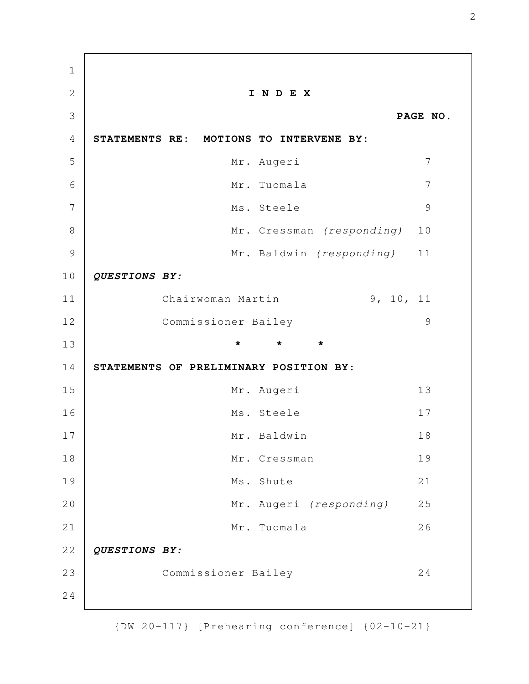**I N D E X PAGE NO. STATEMENTS RE: MOTIONS TO INTERVENE BY:**  Mr. Augeri 7 Mr. Tuomala 7 Ms. Steele 9 Mr. Cressman *(responding)* 10 Mr. Baldwin *(responding)* 11 *QUESTIONS BY:* Chairwoman Martin 9, 10, 11 Commissioner Bailey 9 **\* \* \* STATEMENTS OF PRELIMINARY POSITION BY:** Mr. Augeri 13 Ms. Steele 17 Mr. Baldwin 18 Mr. Cressman 19 Ms. Shute 21 Mr. Augeri *(responding)* 25 Mr. Tuomala 26 *QUESTIONS BY:* Commissioner Bailey 24 1 2 3 4 5 6 7 8 9 10 11 12 13 14 15 16 17 18 19 20 21 22 23 24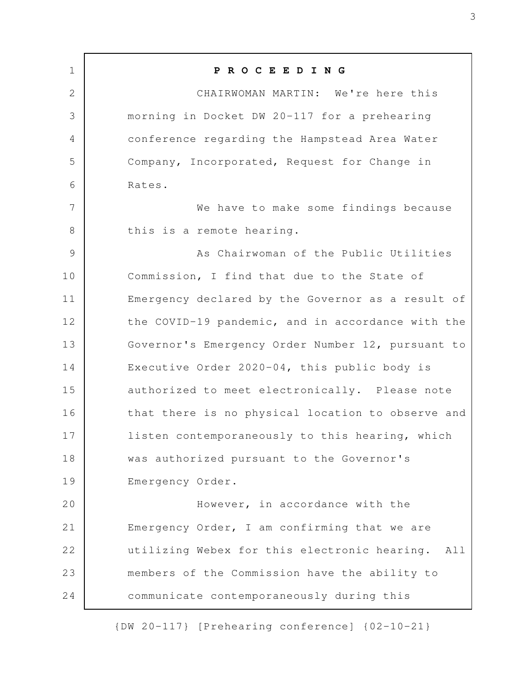**P R O C E E D I N G** CHAIRWOMAN MARTIN: We're here this morning in Docket DW 20-117 for a prehearing conference regarding the Hampstead Area Water Company, Incorporated, Request for Change in Rates. We have to make some findings because this is a remote hearing. As Chairwoman of the Public Utilities Commission, I find that due to the State of Emergency declared by the Governor as a result of the COVID-19 pandemic, and in accordance with the Governor's Emergency Order Number 12, pursuant to Executive Order 2020-04, this public body is authorized to meet electronically. Please note that there is no physical location to observe and listen contemporaneously to this hearing, which was authorized pursuant to the Governor's Emergency Order. However, in accordance with the Emergency Order, I am confirming that we are utilizing Webex for this electronic hearing. All members of the Commission have the ability to communicate contemporaneously during this 1 2 3 4 5 6 7 8 9 10 11 12 13 14 15 16 17 18 19 20 21 22 23 24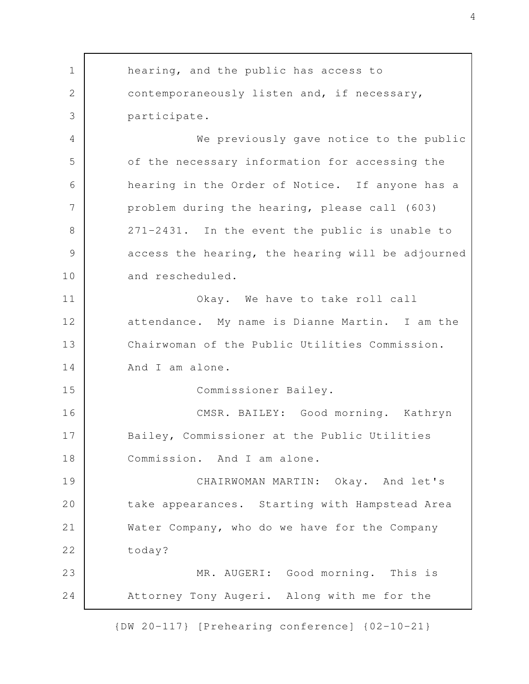hearing, and the public has access to contemporaneously listen and, if necessary, participate. We previously gave notice to the public of the necessary information for accessing the hearing in the Order of Notice. If anyone has a problem during the hearing, please call (603) 271-2431. In the event the public is unable to access the hearing, the hearing will be adjourned and rescheduled. Okay. We have to take roll call attendance. My name is Dianne Martin. I am the Chairwoman of the Public Utilities Commission. And I am alone. Commissioner Bailey. CMSR. BAILEY: Good morning. Kathryn Bailey, Commissioner at the Public Utilities Commission. And I am alone. CHAIRWOMAN MARTIN: Okay. And let's take appearances. Starting with Hampstead Area Water Company, who do we have for the Company today? MR. AUGERI: Good morning. This is Attorney Tony Augeri. Along with me for the 1 2 3 4 5 6 7 8 9 10 11 12 13 14 15 16 17 18 19 20 21 22 23 24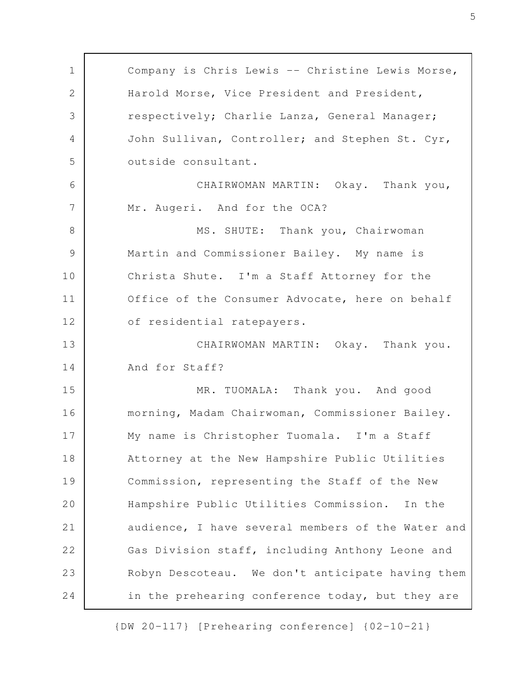Company is Chris Lewis -- Christine Lewis Morse, Harold Morse, Vice President and President, respectively; Charlie Lanza, General Manager; John Sullivan, Controller; and Stephen St. Cyr, outside consultant. CHAIRWOMAN MARTIN: Okay. Thank you, Mr. Augeri. And for the OCA? MS. SHUTE: Thank you, Chairwoman Martin and Commissioner Bailey. My name is Christa Shute. I'm a Staff Attorney for the Office of the Consumer Advocate, here on behalf of residential ratepayers. CHAIRWOMAN MARTIN: Okay. Thank you. And for Staff? MR. TUOMALA: Thank you. And good morning, Madam Chairwoman, Commissioner Bailey. My name is Christopher Tuomala. I'm a Staff Attorney at the New Hampshire Public Utilities Commission, representing the Staff of the New Hampshire Public Utilities Commission. In the audience, I have several members of the Water and Gas Division staff, including Anthony Leone and Robyn Descoteau. We don't anticipate having them in the prehearing conference today, but they are 1 2 3 4 5 6 7 8 9 10 11 12 13 14 15 16 17 18 19 20 21 22 23 24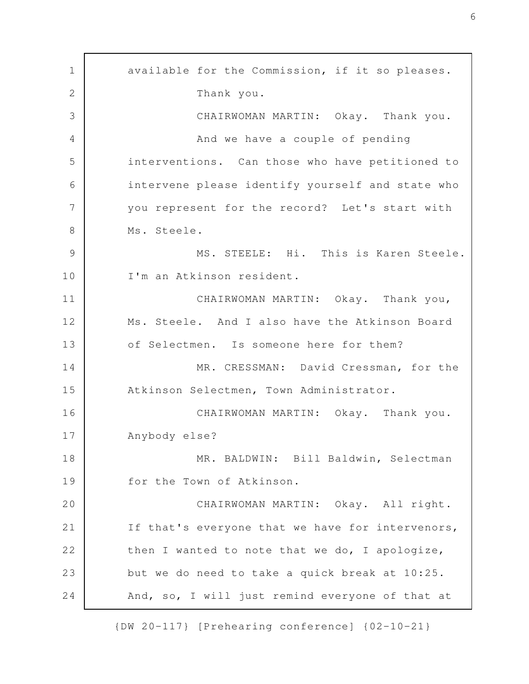available for the Commission, if it so pleases. Thank you. CHAIRWOMAN MARTIN: Okay. Thank you. And we have a couple of pending interventions. Can those who have petitioned to intervene please identify yourself and state who you represent for the record? Let's start with Ms. Steele. MS. STEELE: Hi. This is Karen Steele. I'm an Atkinson resident. CHAIRWOMAN MARTIN: Okay. Thank you, Ms. Steele. And I also have the Atkinson Board of Selectmen. Is someone here for them? MR. CRESSMAN: David Cressman, for the Atkinson Selectmen, Town Administrator. CHAIRWOMAN MARTIN: Okay. Thank you. Anybody else? MR. BALDWIN: Bill Baldwin, Selectman for the Town of Atkinson. CHAIRWOMAN MARTIN: Okay. All right. If that's everyone that we have for intervenors, then I wanted to note that we do, I apologize, but we do need to take a quick break at 10:25. And, so, I will just remind everyone of that at 1 2 3 4 5 6 7 8 9 10 11 12 13 14 15 16 17 18 19 20 21 22 23 24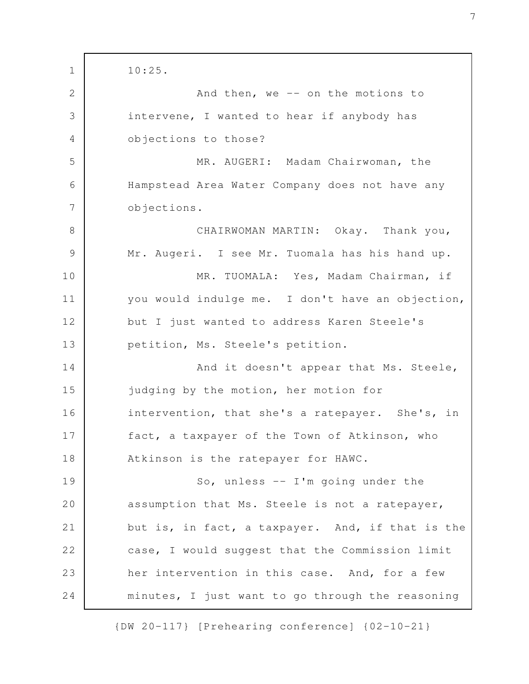10:25. And then, we  $-$  on the motions to intervene, I wanted to hear if anybody has objections to those? MR. AUGERI: Madam Chairwoman, the Hampstead Area Water Company does not have any objections. CHAIRWOMAN MARTIN: Okay. Thank you, Mr. Augeri. I see Mr. Tuomala has his hand up. MR. TUOMALA: Yes, Madam Chairman, if you would indulge me. I don't have an objection, but I just wanted to address Karen Steele's petition, Ms. Steele's petition. And it doesn't appear that Ms. Steele, judging by the motion, her motion for intervention, that she's a ratepayer. She's, in fact, a taxpayer of the Town of Atkinson, who Atkinson is the ratepayer for HAWC. So, unless -- I'm going under the assumption that Ms. Steele is not a ratepayer, but is, in fact, a taxpayer. And, if that is the case, I would suggest that the Commission limit her intervention in this case. And, for a few minutes, I just want to go through the reasoning 1 2 3 4 5 6 7 8 9 10 11 12 13 14 15 16 17 18 19 20 21 22 23 24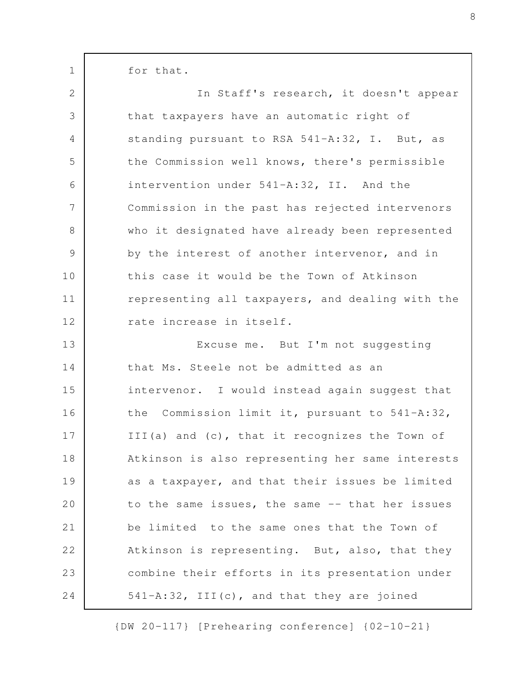for that.

1

| $\overline{2}$ | In Staff's research, it doesn't appear           |
|----------------|--------------------------------------------------|
| 3              | that taxpayers have an automatic right of        |
| 4              | standing pursuant to RSA 541-A:32, I. But, as    |
| 5              | the Commission well knows, there's permissible   |
| 6              | intervention under 541-A:32, II. And the         |
| 7              | Commission in the past has rejected intervenors  |
| $8\,$          | who it designated have already been represented  |
| $\mathcal{G}$  | by the interest of another intervenor, and in    |
| 10             | this case it would be the Town of Atkinson       |
| 11             | representing all taxpayers, and dealing with the |
| 12             | rate increase in itself.                         |
| 13             | Excuse me. But I'm not suggesting                |
| 14             | that Ms. Steele not be admitted as an            |
| 15             | intervenor. I would instead again suggest that   |
| 16             | the Commission limit it, pursuant to 541-A:32,   |
| 17             | III(a) and (c), that it recognizes the Town of   |
| 18             | Atkinson is also representing her same interests |
| 19             | as a taxpayer, and that their issues be limited  |
| 20             | to the same issues, the same -- that her issues  |
| 21             | be limited to the same ones that the Town of     |
| 22             | Atkinson is representing. But, also, that they   |
| 23             | combine their efforts in its presentation under  |
| 24             | 541-A:32, III(c), and that they are joined       |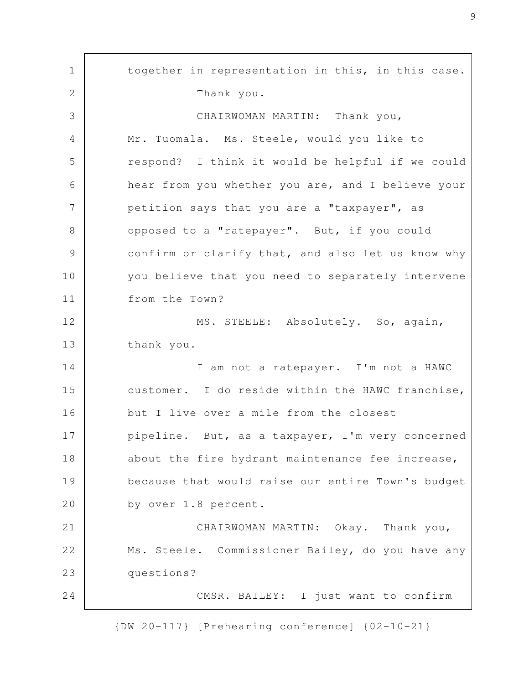together in representation in this, in this case. Thank you. CHAIRWOMAN MARTIN: Thank you, Mr. Tuomala. Ms. Steele, would you like to respond? I think it would be helpful if we could hear from you whether you are, and I believe your petition says that you are a "taxpayer", as opposed to a "ratepayer". But, if you could confirm or clarify that, and also let us know why you believe that you need to separately intervene from the Town? MS. STEELE: Absolutely. So, again, thank you. I am not a ratepayer. I'm not a HAWC customer. I do reside within the HAWC franchise, but I live over a mile from the closest pipeline. But, as a taxpayer, I'm very concerned about the fire hydrant maintenance fee increase, because that would raise our entire Town's budget by over 1.8 percent. CHAIRWOMAN MARTIN: Okay. Thank you, Ms. Steele. Commissioner Bailey, do you have any questions? CMSR. BAILEY: I just want to confirm 1 2 3 4 5 6 7 8 9 10 11 12 13 14 15 16 17 18 19 20 21 22 23 24

{DW 20-117} [Prehearing conference] {02-10-21}

9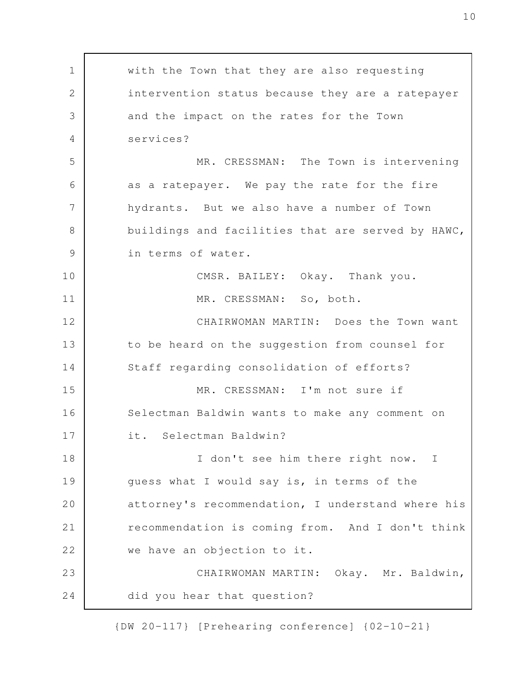with the Town that they are also requesting intervention status because they are a ratepayer and the impact on the rates for the Town services? MR. CRESSMAN: The Town is intervening as a ratepayer. We pay the rate for the fire hydrants. But we also have a number of Town buildings and facilities that are served by HAWC, in terms of water. CMSR. BAILEY: Okay. Thank you. MR. CRESSMAN: So, both. CHAIRWOMAN MARTIN: Does the Town want to be heard on the suggestion from counsel for Staff regarding consolidation of efforts? MR. CRESSMAN: I'm not sure if Selectman Baldwin wants to make any comment on it. Selectman Baldwin? I don't see him there right now. I guess what I would say is, in terms of the attorney's recommendation, I understand where his recommendation is coming from. And I don't think we have an objection to it. CHAIRWOMAN MARTIN: Okay. Mr. Baldwin, did you hear that question? 1 2 3 4 5 6 7 8 9 10 11 12 13 14 15 16 17 18 19 20 21 22 23 24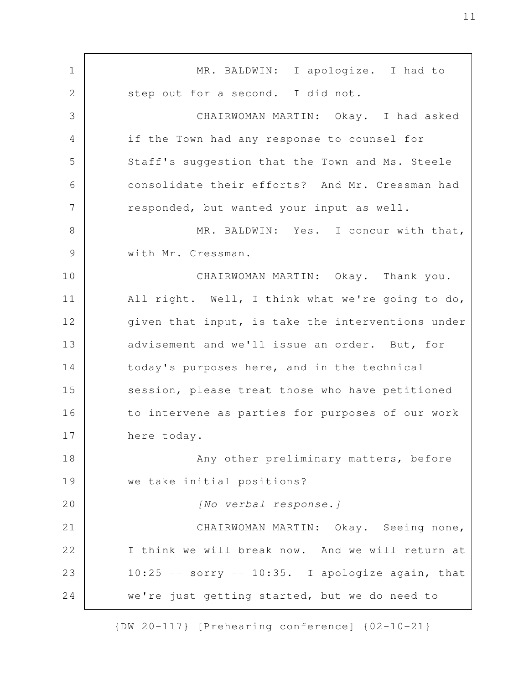MR. BALDWIN: I apologize. I had to step out for a second. I did not. CHAIRWOMAN MARTIN: Okay. I had asked if the Town had any response to counsel for Staff's suggestion that the Town and Ms. Steele consolidate their efforts? And Mr. Cressman had responded, but wanted your input as well. MR. BALDWIN: Yes. I concur with that, with Mr. Cressman. CHAIRWOMAN MARTIN: Okay. Thank you. All right. Well, I think what we're going to do, given that input, is take the interventions under advisement and we'll issue an order. But, for today's purposes here, and in the technical session, please treat those who have petitioned to intervene as parties for purposes of our work here today. Any other preliminary matters, before we take initial positions? *[No verbal response.]* CHAIRWOMAN MARTIN: Okay. Seeing none, I think we will break now. And we will return at  $10:25$  -- sorry --  $10:35$ . I apologize again, that we're just getting started, but we do need to 1 2 3 4 5 6 7 8 9 10 11 12 13 14 15 16 17 18 19 20 21 22 23 24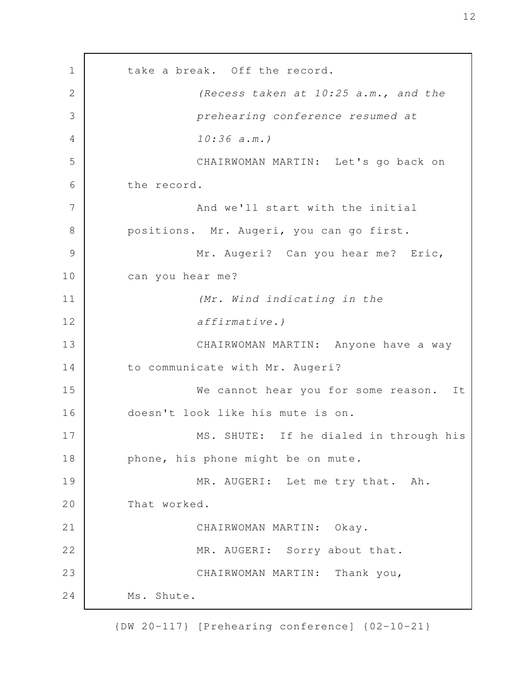take a break. Off the record. *(Recess taken at 10:25 a.m., and the prehearing conference resumed at 10:36 a.m.)* CHAIRWOMAN MARTIN: Let's go back on the record. And we'll start with the initial positions. Mr. Augeri, you can go first. Mr. Augeri? Can you hear me? Eric, can you hear me? *(Mr. Wind indicating in the affirmative.)* CHAIRWOMAN MARTIN: Anyone have a way to communicate with Mr. Augeri? We cannot hear you for some reason. It doesn't look like his mute is on. MS. SHUTE: If he dialed in through his phone, his phone might be on mute. MR. AUGERI: Let me try that. Ah. That worked. CHAIRWOMAN MARTIN: Okay. MR. AUGERI: Sorry about that. CHAIRWOMAN MARTIN: Thank you, Ms. Shute. 1 2 3 4 5 6 7 8 9 10 11 12 13 14 15 16 17 18 19 20 21 22 23 24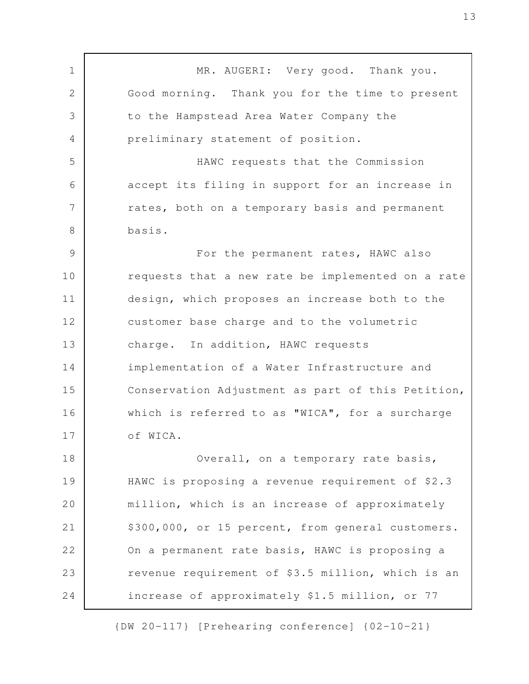MR. AUGERI: Very good. Thank you. Good morning. Thank you for the time to present to the Hampstead Area Water Company the preliminary statement of position. HAWC requests that the Commission accept its filing in support for an increase in rates, both on a temporary basis and permanent basis. For the permanent rates, HAWC also requests that a new rate be implemented on a rate design, which proposes an increase both to the customer base charge and to the volumetric charge. In addition, HAWC requests implementation of a Water Infrastructure and Conservation Adjustment as part of this Petition, which is referred to as "WICA", for a surcharge of WICA. Overall, on a temporary rate basis, HAWC is proposing a revenue requirement of \$2.3 million, which is an increase of approximately \$300,000, or 15 percent, from general customers. On a permanent rate basis, HAWC is proposing a revenue requirement of \$3.5 million, which is an increase of approximately \$1.5 million, or 77 1 2 3 4 5 6 7 8 9 10 11 12 13 14 15 16 17 18 19 20 21 22 23 24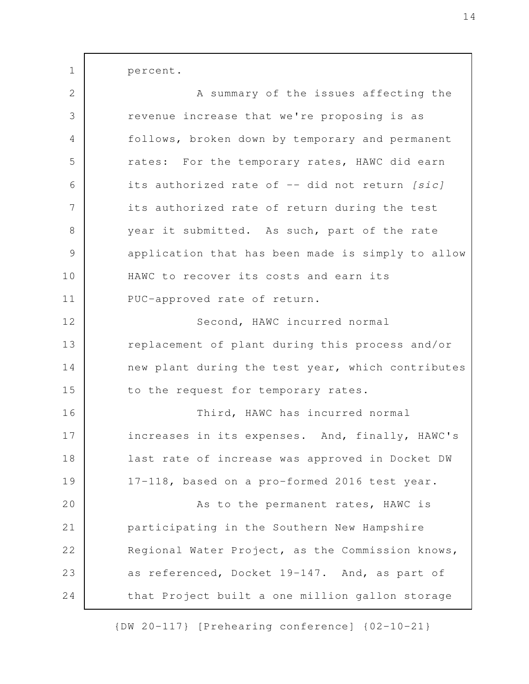percent. A summary of the issues affecting the revenue increase that we're proposing is as follows, broken down by temporary and permanent rates: For the temporary rates, HAWC did earn its authorized rate of -- did not return *[sic]* its authorized rate of return during the test year it submitted. As such, part of the rate application that has been made is simply to allow HAWC to recover its costs and earn its PUC-approved rate of return. Second, HAWC incurred normal replacement of plant during this process and/or new plant during the test year, which contributes to the request for temporary rates. Third, HAWC has incurred normal increases in its expenses. And, finally, HAWC's last rate of increase was approved in Docket DW 17-118, based on a pro-formed 2016 test year. As to the permanent rates, HAWC is participating in the Southern New Hampshire Regional Water Project, as the Commission knows, 1 2 3 4 5 6 7 8 9 10 11 12 13 14 15 16 17 18 19 20 21 22

that Project built a one million gallon storage

23

24

as referenced, Docket 19-147. And, as part of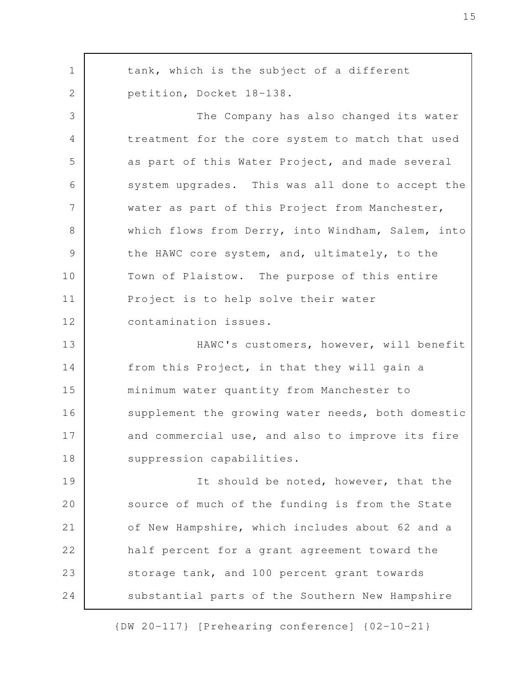tank, which is the subject of a different petition, Docket 18-138. The Company has also changed its water treatment for the core system to match that used as part of this Water Project, and made several system upgrades. This was all done to accept the water as part of this Project from Manchester, which flows from Derry, into Windham, Salem, into the HAWC core system, and, ultimately, to the Town of Plaistow. The purpose of this entire Project is to help solve their water contamination issues. HAWC's customers, however, will benefit from this Project, in that they will gain a minimum water quantity from Manchester to supplement the growing water needs, both domestic and commercial use, and also to improve its fire suppression capabilities. It should be noted, however, that the source of much of the funding is from the State of New Hampshire, which includes about 62 and a half percent for a grant agreement toward the storage tank, and 100 percent grant towards substantial parts of the Southern New Hampshire 1 2 3 4 5 6 7 8 9 10 11 12 13 14 15 16 17 18 19 20 21 22 23 24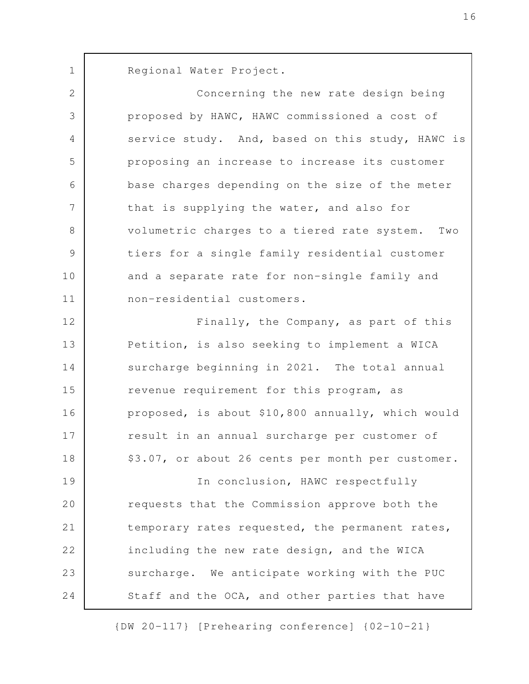Regional Water Project. 1

Concerning the new rate design being proposed by HAWC, HAWC commissioned a cost of service study. And, based on this study, HAWC is proposing an increase to increase its customer base charges depending on the size of the meter that is supplying the water, and also for volumetric charges to a tiered rate system. Two tiers for a single family residential customer and a separate rate for non-single family and non-residential customers. Finally, the Company, as part of this 2 3 4 5 6 7 8 9 10 11 12

Petition, is also seeking to implement a WICA surcharge beginning in 2021. The total annual revenue requirement for this program, as proposed, is about \$10,800 annually, which would result in an annual surcharge per customer of \$3.07, or about 26 cents per month per customer. 13 14 15 16 17 18

In conclusion, HAWC respectfully requests that the Commission approve both the temporary rates requested, the permanent rates, including the new rate design, and the WICA surcharge. We anticipate working with the PUC Staff and the OCA, and other parties that have 19 20 21 22 23 24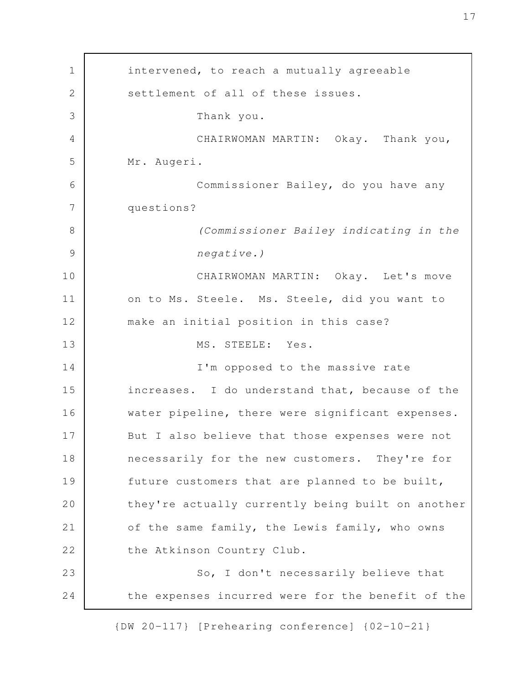intervened, to reach a mutually agreeable settlement of all of these issues. Thank you. CHAIRWOMAN MARTIN: Okay. Thank you, Mr. Augeri. Commissioner Bailey, do you have any questions? *(Commissioner Bailey indicating in the negative.)* CHAIRWOMAN MARTIN: Okay. Let's move on to Ms. Steele. Ms. Steele, did you want to make an initial position in this case? MS. STEELE: Yes. I'm opposed to the massive rate increases. I do understand that, because of the water pipeline, there were significant expenses. But I also believe that those expenses were not necessarily for the new customers. They're for future customers that are planned to be built, they're actually currently being built on another of the same family, the Lewis family, who owns the Atkinson Country Club. So, I don't necessarily believe that the expenses incurred were for the benefit of the 1 2 3 4 5 6 7 8 9 10 11 12 13 14 15 16 17 18 19 20 21 22 23 24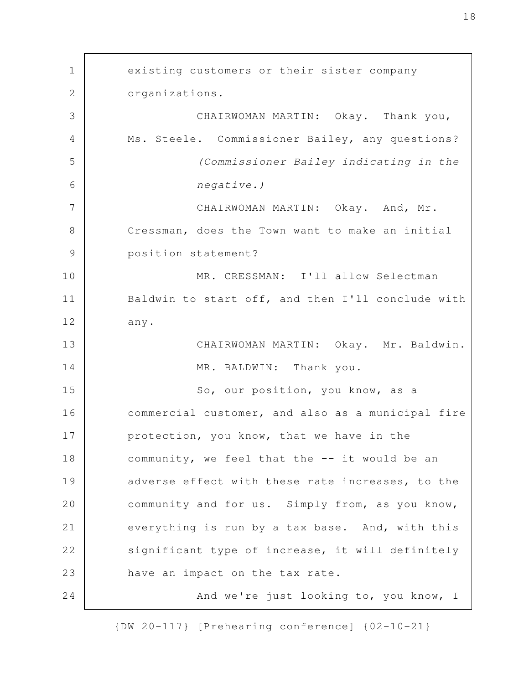existing customers or their sister company organizations. CHAIRWOMAN MARTIN: Okay. Thank you, Ms. Steele. Commissioner Bailey, any questions? *(Commissioner Bailey indicating in the negative.)* CHAIRWOMAN MARTIN: Okay. And, Mr. Cressman, does the Town want to make an initial position statement? MR. CRESSMAN: I'll allow Selectman Baldwin to start off, and then I'll conclude with any. CHAIRWOMAN MARTIN: Okay. Mr. Baldwin. MR. BALDWIN: Thank you. So, our position, you know, as a commercial customer, and also as a municipal fire protection, you know, that we have in the community, we feel that the -- it would be an adverse effect with these rate increases, to the community and for us. Simply from, as you know, everything is run by a tax base. And, with this significant type of increase, it will definitely have an impact on the tax rate. And we're just looking to, you know, I 1 2 3 4 5 6 7 8 9 10 11 12 13 14 15 16 17 18 19 20 21 22 23 24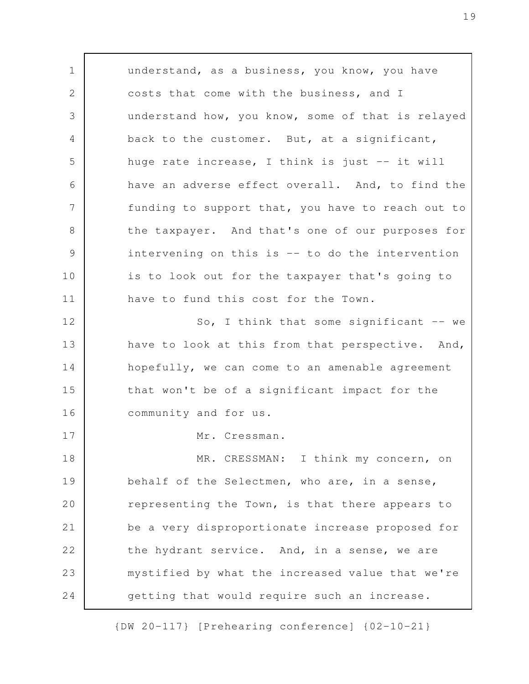understand, as a business, you know, you have costs that come with the business, and I understand how, you know, some of that is relayed back to the customer. But, at a significant, huge rate increase, I think is just -- it will have an adverse effect overall. And, to find the funding to support that, you have to reach out to the taxpayer. And that's one of our purposes for intervening on this is -- to do the intervention is to look out for the taxpayer that's going to have to fund this cost for the Town. So, I think that some significant  $-$  we have to look at this from that perspective. And, hopefully, we can come to an amenable agreement that won't be of a significant impact for the community and for us. Mr. Cressman. MR. CRESSMAN: I think my concern, on behalf of the Selectmen, who are, in a sense, representing the Town, is that there appears to be a very disproportionate increase proposed for the hydrant service. And, in a sense, we are mystified by what the increased value that we're getting that would require such an increase. 1 2 3 4 5 6 7 8 9 10 11 12 13 14 15 16 17 18 19 20 21 22 23 24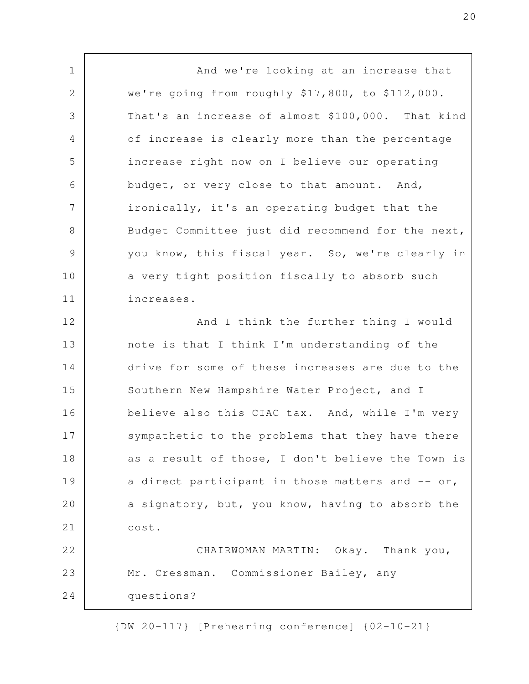And we're looking at an increase that we're going from roughly \$17,800, to \$112,000. That's an increase of almost \$100,000. That kind of increase is clearly more than the percentage increase right now on I believe our operating budget, or very close to that amount. And, ironically, it's an operating budget that the Budget Committee just did recommend for the next, you know, this fiscal year. So, we're clearly in a very tight position fiscally to absorb such increases. And I think the further thing I would note is that I think I'm understanding of the drive for some of these increases are due to the Southern New Hampshire Water Project, and I believe also this CIAC tax. And, while I'm very sympathetic to the problems that they have there as a result of those, I don't believe the Town is a direct participant in those matters and  $-$  or, a signatory, but, you know, having to absorb the cost. CHAIRWOMAN MARTIN: Okay. Thank you, Mr. Cressman. Commissioner Bailey, any questions? 1 2 3 4 5 6 7 8 9 10 11 12 13 14 15 16 17 18 19 20 21 22 23 24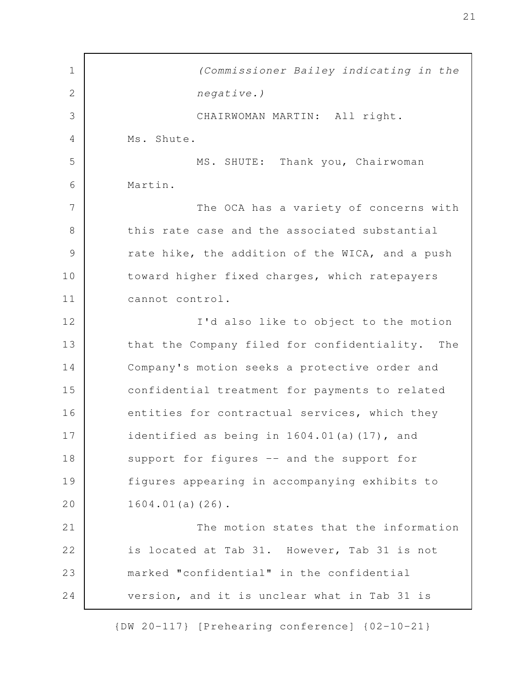*(Commissioner Bailey indicating in the negative.)* CHAIRWOMAN MARTIN: All right. Ms. Shute. MS. SHUTE: Thank you, Chairwoman Martin. The OCA has a variety of concerns with this rate case and the associated substantial rate hike, the addition of the WICA, and a push toward higher fixed charges, which ratepayers cannot control. I'd also like to object to the motion that the Company filed for confidentiality. The Company's motion seeks a protective order and confidential treatment for payments to related entities for contractual services, which they identified as being in 1604.01(a)(17), and support for figures -- and the support for figures appearing in accompanying exhibits to 1604.01(a)(26). The motion states that the information is located at Tab 31. However, Tab 31 is not marked "confidential" in the confidential version, and it is unclear what in Tab 31 is 1 2 3 4 5 6 7 8 9 10 11 12 13 14 15 16 17 18 19 20 21 22 23 24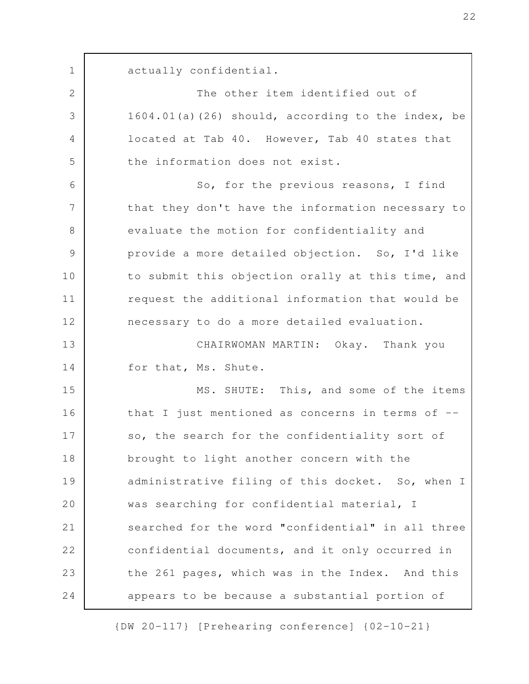actually confidential. The other item identified out of 1604.01(a)(26) should, according to the index, be located at Tab 40. However, Tab 40 states that the information does not exist. So, for the previous reasons, I find that they don't have the information necessary to evaluate the motion for confidentiality and provide a more detailed objection. So, I'd like to submit this objection orally at this time, and request the additional information that would be necessary to do a more detailed evaluation. CHAIRWOMAN MARTIN: Okay. Thank you for that, Ms. Shute. MS. SHUTE: This, and some of the items that I just mentioned as concerns in terms of - so, the search for the confidentiality sort of brought to light another concern with the administrative filing of this docket. So, when I was searching for confidential material, I searched for the word "confidential" in all three confidential documents, and it only occurred in the 261 pages, which was in the Index. And this appears to be because a substantial portion of 1 2 3 4 5 6 7 8 9 10 11 12 13 14 15 16 17 18 19 20 21 22 23 24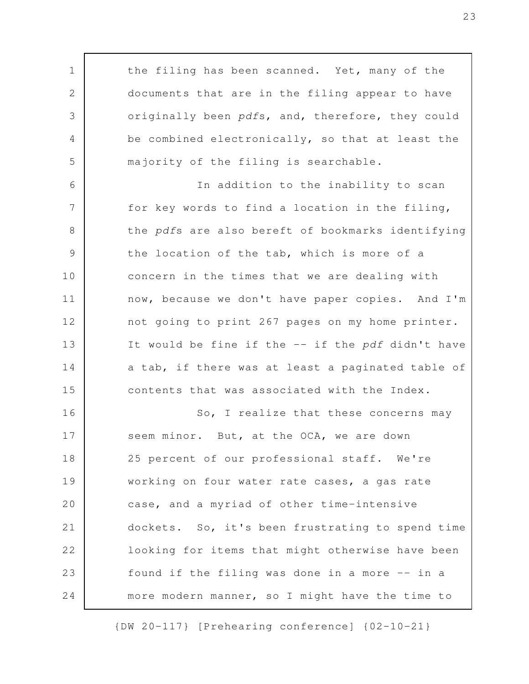the filing has been scanned. Yet, many of the documents that are in the filing appear to have originally been *pdf*s, and, therefore, they could be combined electronically, so that at least the majority of the filing is searchable. In addition to the inability to scan for key words to find a location in the filing, the *pdf*s are also bereft of bookmarks identifying the location of the tab, which is more of a concern in the times that we are dealing with now, because we don't have paper copies. And I'm not going to print 267 pages on my home printer. It would be fine if the -- if the *pdf* didn't have a tab, if there was at least a paginated table of contents that was associated with the Index. So, I realize that these concerns may seem minor. But, at the OCA, we are down 25 percent of our professional staff. We're working on four water rate cases, a gas rate case, and a myriad of other time-intensive dockets. So, it's been frustrating to spend time looking for items that might otherwise have been found if the filing was done in a more -- in a more modern manner, so I might have the time to 1 2 3 4 5 6 7 8 9 10 11 12 13 14 15 16 17 18 19 20 21 22 23 24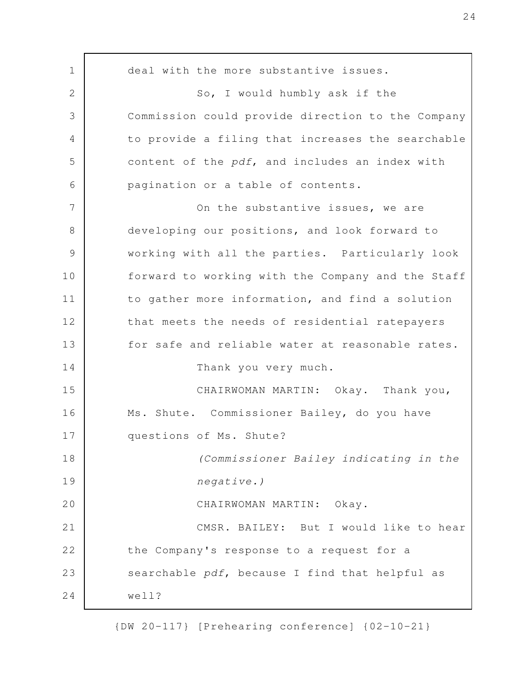deal with the more substantive issues. So, I would humbly ask if the Commission could provide direction to the Company to provide a filing that increases the searchable content of the *pdf*, and includes an index with pagination or a table of contents. On the substantive issues, we are developing our positions, and look forward to working with all the parties. Particularly look forward to working with the Company and the Staff to gather more information, and find a solution that meets the needs of residential ratepayers for safe and reliable water at reasonable rates. Thank you very much. CHAIRWOMAN MARTIN: Okay. Thank you, Ms. Shute. Commissioner Bailey, do you have questions of Ms. Shute? *(Commissioner Bailey indicating in the negative.)* CHAIRWOMAN MARTIN: Okay. CMSR. BAILEY: But I would like to hear the Company's response to a request for a searchable *pdf*, because I find that helpful as well? 1 2 3 4 5 6 7 8 9 10 11 12 13 14 15 16 17 18 19 20 21 22 23 24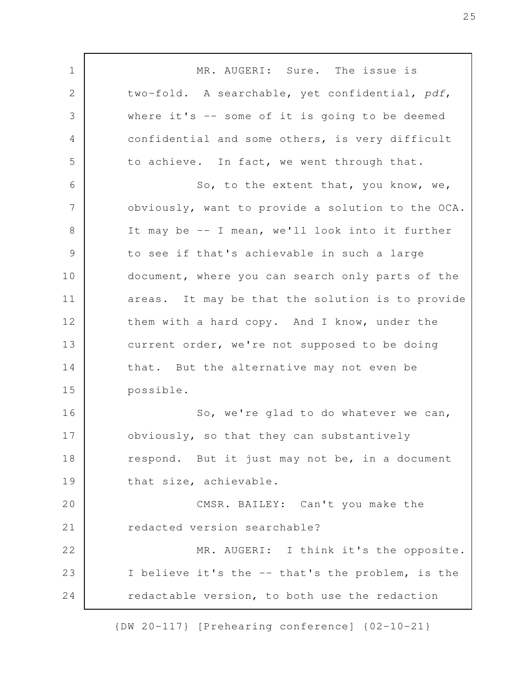MR. AUGERI: Sure. The issue is two-fold. A searchable, yet confidential, *pdf*, where it's  $-$  some of it is going to be deemed confidential and some others, is very difficult to achieve. In fact, we went through that. So, to the extent that, you know, we, obviously, want to provide a solution to the OCA. It may be -- I mean, we'll look into it further to see if that's achievable in such a large document, where you can search only parts of the areas. It may be that the solution is to provide them with a hard copy. And I know, under the current order, we're not supposed to be doing that. But the alternative may not even be possible. So, we're glad to do whatever we can, obviously, so that they can substantively respond. But it just may not be, in a document that size, achievable. CMSR. BAILEY: Can't you make the redacted version searchable? MR. AUGERI: I think it's the opposite. I believe it's the -- that's the problem, is the redactable version, to both use the redaction 1 2 3 4 5 6 7 8 9 10 11 12 13 14 15 16 17 18 19 20 21 22 23 24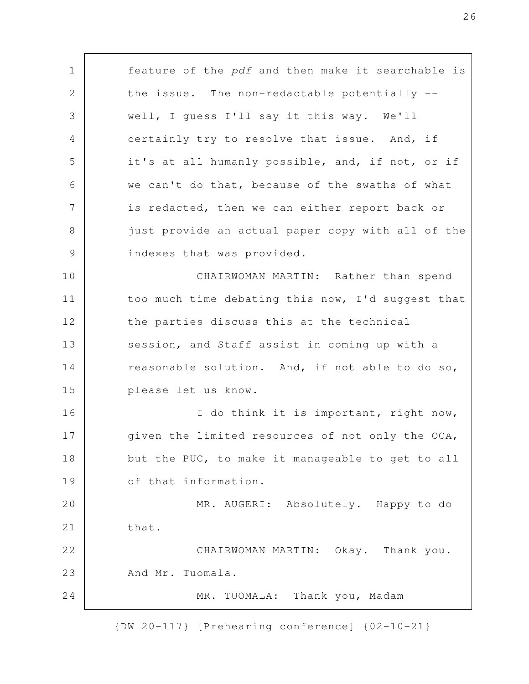feature of the *pdf* and then make it searchable is the issue. The non-redactable potentially - well, I guess I'll say it this way. We'll certainly try to resolve that issue. And, if it's at all humanly possible, and, if not, or if we can't do that, because of the swaths of what is redacted, then we can either report back or just provide an actual paper copy with all of the indexes that was provided. CHAIRWOMAN MARTIN: Rather than spend too much time debating this now, I'd suggest that the parties discuss this at the technical session, and Staff assist in coming up with a reasonable solution. And, if not able to do so, please let us know. I do think it is important, right now, given the limited resources of not only the OCA, but the PUC, to make it manageable to get to all of that information. MR. AUGERI: Absolutely. Happy to do that. CHAIRWOMAN MARTIN: Okay. Thank you. And Mr. Tuomala. MR. TUOMALA: Thank you, Madam 1 2 3 4 5 6 7 8 9 10 11 12 13 14 15 16 17 18 19 20 21 22 23 24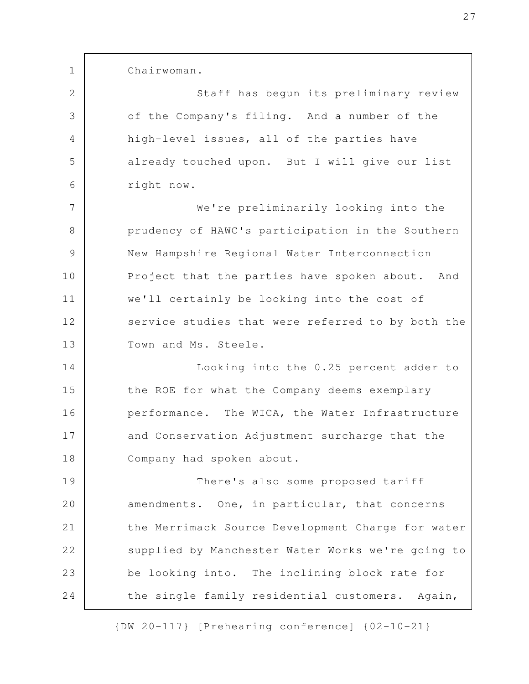Chairwoman.

1

2

3

4

5

6

Staff has begun its preliminary review of the Company's filing. And a number of the high-level issues, all of the parties have already touched upon. But I will give our list right now.

We're preliminarily looking into the prudency of HAWC's participation in the Southern New Hampshire Regional Water Interconnection Project that the parties have spoken about. And we'll certainly be looking into the cost of service studies that were referred to by both the Town and Ms. Steele. 7 8 9 10 11 12 13

Looking into the 0.25 percent adder to the ROE for what the Company deems exemplary performance. The WICA, the Water Infrastructure and Conservation Adjustment surcharge that the Company had spoken about. 14 15 16 17 18

There's also some proposed tariff amendments. One, in particular, that concerns the Merrimack Source Development Charge for water supplied by Manchester Water Works we're going to be looking into. The inclining block rate for the single family residential customers. Again, 19 20 21 22 23 24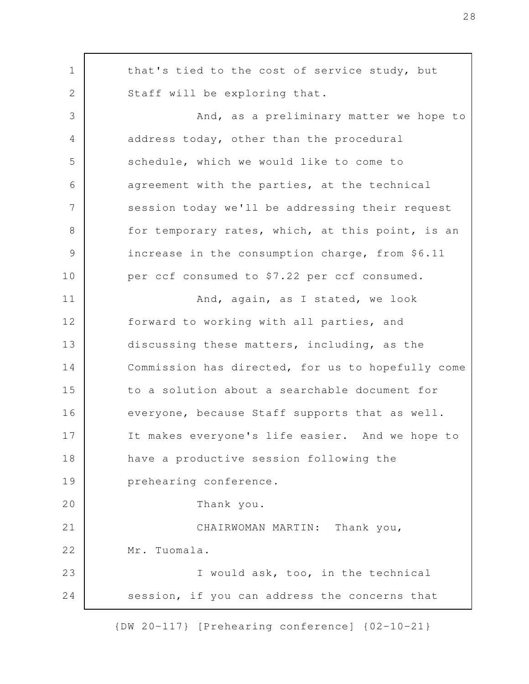that's tied to the cost of service study, but Staff will be exploring that. And, as a preliminary matter we hope to address today, other than the procedural schedule, which we would like to come to agreement with the parties, at the technical session today we'll be addressing their request for temporary rates, which, at this point, is an increase in the consumption charge, from \$6.11 per ccf consumed to \$7.22 per ccf consumed. And, again, as I stated, we look forward to working with all parties, and discussing these matters, including, as the Commission has directed, for us to hopefully come to a solution about a searchable document for everyone, because Staff supports that as well. It makes everyone's life easier. And we hope to have a productive session following the prehearing conference. Thank you. CHAIRWOMAN MARTIN: Thank you, Mr. Tuomala. I would ask, too, in the technical session, if you can address the concerns that 1 2 3 4 5 6 7 8 9 10 11 12 13 14 15 16 17 18 19 20 21 22 23 24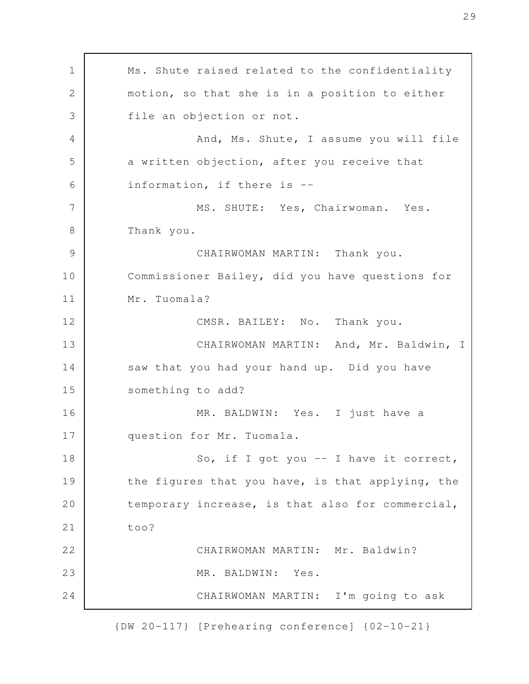Ms. Shute raised related to the confidentiality motion, so that she is in a position to either file an objection or not. And, Ms. Shute, I assume you will file a written objection, after you receive that information, if there is -- MS. SHUTE: Yes, Chairwoman. Yes. Thank you. CHAIRWOMAN MARTIN: Thank you. Commissioner Bailey, did you have questions for Mr. Tuomala? CMSR. BAILEY: No. Thank you. CHAIRWOMAN MARTIN: And, Mr. Baldwin, I saw that you had your hand up. Did you have something to add? MR. BALDWIN: Yes. I just have a question for Mr. Tuomala. So, if I got you  $-$  I have it correct, the figures that you have, is that applying, the temporary increase, is that also for commercial, too? CHAIRWOMAN MARTIN: Mr. Baldwin? MR. BALDWIN: Yes. CHAIRWOMAN MARTIN: I'm going to ask 1 2 3 4 5 6 7 8 9 10 11 12 13 14 15 16 17 18 19 20 21 22 23 24